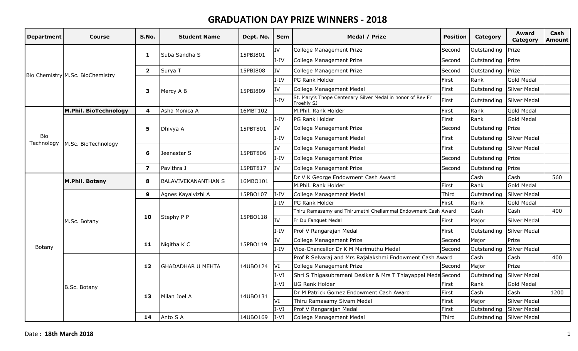| <b>Department</b>        | Course                           | S.No.          | <b>Student Name</b>        | Dept. No. | <b>Sem</b> | Medal / Prize                                                            | <b>Position</b> | Category                 | Award<br>Category   | Cash<br>Amount |
|--------------------------|----------------------------------|----------------|----------------------------|-----------|------------|--------------------------------------------------------------------------|-----------------|--------------------------|---------------------|----------------|
|                          |                                  | 1              | Suba Sandha S              | 15PBI801  | IV         | College Management Prize                                                 | Second          | Outstanding              | Prize               |                |
|                          |                                  |                |                            |           | I-IV       | College Management Prize                                                 | Second          | Outstanding              | Prize               |                |
|                          |                                  | $\mathbf{2}$   | Surya T                    | 15PBI808  | IV         | College Management Prize                                                 | Second          | Outstanding              | Prize               |                |
|                          | Bio Chemistry M.Sc. BioChemistry |                |                            |           | $I-IV$     | PG Rank Holder                                                           | First           | Rank                     | <b>Gold Medal</b>   |                |
|                          |                                  | 3              | Mercy A B                  | 15PBI809  | IV         | College Management Medal                                                 | First           | Outstanding              | <b>Silver Medal</b> |                |
|                          |                                  |                |                            |           | $I-IV$     | St. Mary's Thope Centenary Silver Medal in honor of Rev Fr<br>Froehly SJ | First           | Outstanding              | Silver Medal        |                |
|                          | M.Phil. BioTechnology            | 4              | Asha Monica A              | 16MBT102  |            | M.Phil. Rank Holder                                                      | First           | Rank                     | <b>Gold Medal</b>   |                |
|                          |                                  |                |                            |           | $I-IV$     | PG Rank Holder                                                           | First           | Rank                     | <b>Gold Medal</b>   |                |
|                          |                                  | 5              | Dhivya A                   | 15PBT801  | <b>IV</b>  | College Management Prize                                                 | Second          | Outstanding              | Prize               |                |
| <b>Bio</b><br>Technology |                                  |                |                            |           | $I-IV$     | College Management Medal                                                 | First           | Outstanding              | <b>Silver Medal</b> |                |
|                          | M.Sc. BioTechnology              | 6              | Jeenastar S                | 15PBT806  | IV.        | College Management Medal                                                 | First           | Outstanding              | Silver Medal        |                |
|                          |                                  |                |                            |           | $I-IV$     | College Management Prize                                                 | Second          | Outstanding              | Prize               |                |
|                          |                                  | $\overline{ }$ | Pavithra J                 | 15PBT817  | IV         | College Management Prize                                                 | Second          | Outstanding              | Prize               |                |
|                          | M.Phil. Botany                   | 8              | <b>BALAVIVEKANANTHAN S</b> | 16MBO101  |            | Dr V K George Endowment Cash Award                                       |                 | Cash                     | Cash                | 560            |
|                          |                                  |                |                            |           |            | M.Phil. Rank Holder                                                      | First           | Rank                     | <b>Gold Medal</b>   |                |
|                          |                                  | 9              | Agnes Kayalvizhi A         | 15PBO107  | $I-IV$     | College Management Medal                                                 | Third           | Outstanding              | <b>Silver Medal</b> |                |
|                          |                                  |                |                            |           | $I-IV$     | PG Rank Holder                                                           | First           | Rank                     | <b>Gold Medal</b>   |                |
|                          |                                  | 10             | Stephy P P                 | 15PB0118  |            | Thiru Ramasamy and Thirumathi Chellammal Endowment Cash Award            |                 | Cash                     | Cash                | 400            |
|                          | M.Sc. Botany                     |                |                            |           | Iv         | Fr Du Fanquet Medal                                                      | First           | Major                    | Silver Medal        |                |
|                          |                                  |                |                            |           | $I-IV$     | Prof V Rangarajan Medal                                                  | First           | Outstanding              | Silver Medal        |                |
|                          |                                  | 11             | Nigitha K C                | 15PBO119  | IV         | College Management Prize                                                 | Second          | Major                    | Prize               |                |
| <b>Botany</b>            |                                  |                |                            |           | $I-IV$     | Vice-Chancellor Dr K M Marimuthu Medal                                   | Second          | Outstanding              | <b>Silver Medal</b> |                |
|                          |                                  |                |                            |           |            | Prof R Selvaraj and Mrs Rajalakshmi Endowment Cash Award                 |                 | Cash                     | Cash                | 400            |
|                          |                                  | 12             | <b>GHADADHAR U MEHTA</b>   | 14UB0124  | VI         | College Management Prize                                                 | Second          | Major                    | Prize               |                |
|                          |                                  |                |                            |           | $IV-I$     | Shri S Thigasubramani Desikar & Mrs T Thiayappal Meda Second             |                 | Outstanding              | Silver Medal        |                |
|                          | <b>B.Sc. Botany</b>              |                |                            |           | $I-VI$     | UG Rank Holder                                                           | First           | Rank                     | <b>Gold Medal</b>   |                |
|                          |                                  | 13             | Milan Joel A               | 14UBO131  |            | Dr M Patrick Gomez Endowment Cash Award                                  | First           | Cash                     | Cash                | 1200           |
|                          |                                  |                |                            |           | VI         | Thiru Ramasamy Sivam Medal                                               | First           | Major                    | <b>Silver Medal</b> |                |
|                          |                                  |                |                            |           | I-VI       | Prof V Rangarajan Medal                                                  | First           | Outstanding              | Silver Medal        |                |
|                          |                                  | 14             | Anto S A                   | 14UBO169  | $I-VI$     | College Management Medal                                                 | Third           | Outstanding Silver Medal |                     |                |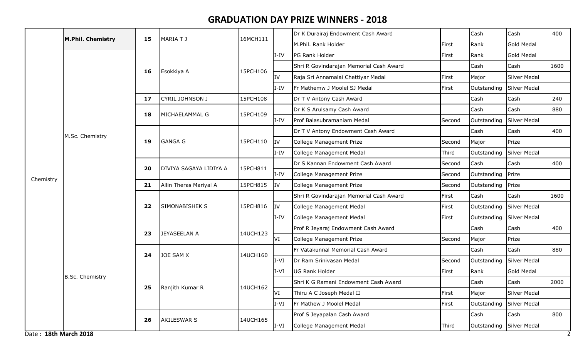|           | <b>M.Phil. Chemistry</b> | 15 | MARIA T J              | 16MCH111 |           | Dr K Durairaj Endowment Cash Award      |        | Cash        | Cash                | 400  |
|-----------|--------------------------|----|------------------------|----------|-----------|-----------------------------------------|--------|-------------|---------------------|------|
|           |                          |    |                        |          |           | M.Phil. Rank Holder                     | First  | Rank        | Gold Medal          |      |
|           |                          |    |                        |          | $I-IV$    | PG Rank Holder                          | First  | Rank        | Gold Medal          |      |
|           |                          | 16 | Esokkiya A             | 15PCH106 |           | Shri R Govindarajan Memorial Cash Award |        | Cash        | Cash                | 1600 |
|           |                          |    |                        |          | IV        | Raja Sri Annamalai Chettiyar Medal      | First  | Major       | <b>Silver Medal</b> |      |
|           |                          |    |                        |          | $I-IV$    | Fr Mathemw J Moolel SJ Medal            | First  | Outstanding | <b>Silver Medal</b> |      |
|           |                          | 17 | CYRIL JOHNSON J        | 15PCH108 |           | Dr T V Antony Cash Award                |        | Cash        | Cash                | 240  |
|           |                          | 18 | MICHAELAMMAL G         | 15PCH109 |           | Dr K S Arulsamy Cash Award              |        | Cash        | Cash                | 880  |
|           |                          |    |                        |          | $I-IV$    | Prof Balasubramaniam Medal              | Second | Outstanding | <b>Silver Medal</b> |      |
|           | M.Sc. Chemistry          |    |                        | 15PCH110 |           | Dr T V Antony Endowment Cash Award      |        | Cash        | Cash                | 400  |
|           |                          | 19 | <b>GANGA G</b>         |          | <b>IV</b> | College Management Prize                | Second | Major       | Prize               |      |
|           |                          |    |                        |          | I-IV      | College Management Medal                | Third  | Outstanding | Silver Medal        |      |
| Chemistry |                          | 20 | DIVIYA SAGAYA LIDIYA A | 15PCH811 |           | Dr S Kannan Endowment Cash Award        | Second | Cash        | Cash                | 400  |
|           |                          |    |                        |          | $I-IV$    | College Management Prize                | Second | Outstanding | Prize               |      |
|           |                          | 21 | Allin Theras Mariyal A | 15PCH815 | IV        | College Management Prize                | Second | Outstanding | Prize               |      |
|           |                          | 22 | <b>SIMONABISHEK S</b>  | 15PCH816 |           | Shri R Govindarajan Memorial Cash Award | First  | Cash        | Cash                | 1600 |
|           |                          |    |                        |          | IV        | College Management Medal                | First  | Outstanding | <b>Silver Medal</b> |      |
|           |                          |    |                        |          | $I-IV$    | College Management Medal                | First  | Outstanding | <b>Silver Medal</b> |      |
|           |                          | 23 | JEYASEELAN A           | 14UCH123 |           | Prof R Jeyaraj Endowment Cash Award     |        | Cash        | Cash                | 400  |
|           |                          |    |                        |          | <b>VI</b> | College Management Prize                | Second | Major       | Prize               |      |
|           |                          | 24 | JOE SAM X              | 14UCH160 |           | Fr Vatakunnal Memorial Cash Award       |        | Cash        | Cash                | 880  |
|           |                          |    |                        |          | $I-VI$    | Dr Ram Srinivasan Medal                 | Second | Outstanding | Silver Medal        |      |
|           | <b>B.Sc. Chemistry</b>   |    |                        |          | $I-VI$    | UG Rank Holder                          | First  | Rank        | Gold Medal          |      |
|           |                          | 25 | Ranjith Kumar R        | 14UCH162 |           | Shri K G Ramani Endowment Cash Award    |        | Cash        | Cash                | 2000 |
|           |                          |    |                        |          | <b>VI</b> | Thiru A C Joseph Medal II               | First  | Major       | Silver Medal        |      |
|           |                          |    |                        |          | $I-VI$    | Fr Mathew J Moolel Medal                | First  | Outstanding | Silver Medal        |      |
|           |                          | 26 | <b>AKILESWAR S</b>     | 14UCH165 |           | Prof S Jeyapalan Cash Award             |        | Cash        | Cash                | 800  |
|           |                          |    |                        |          | $I-VI$    | College Management Medal                | Third  | Outstanding | Silver Medal        |      |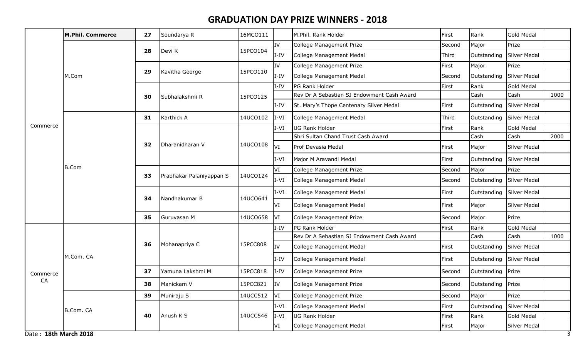|                       | <b>M.Phil. Commerce</b> | 27 | Soundarya R              | 16MCO111 |           | M.Phil. Rank Holder                        | First         | Rank              | Gold Medal        |      |
|-----------------------|-------------------------|----|--------------------------|----------|-----------|--------------------------------------------|---------------|-------------------|-------------------|------|
|                       |                         |    |                          |          | IV        | College Management Prize                   | Second        | Major             | Prize             |      |
|                       |                         | 28 | Devi K                   | 15PCO104 | $I-IV$    | College Management Medal                   | Third         | Outstanding       | Silver Medal      |      |
|                       |                         |    |                          |          | IV        | College Management Prize                   | First         | Major             | Prize             |      |
|                       | M.Com                   | 29 | Kavitha George           | 15PCO110 | $I-IV$    | College Management Medal                   | Second        | Outstanding       | Silver Medal      |      |
|                       |                         |    |                          |          | I-IV      | PG Rank Holder                             | First         | Rank              | <b>Gold Medal</b> |      |
|                       |                         | 30 | Subhalakshmi R           | 15PCO125 |           | Rev Dr A Sebastian SJ Endowment Cash Award |               | Cash              | Cash              | 1000 |
|                       |                         |    |                          |          | I-IV      | St. Mary's Thope Centenary Silver Medal    | First         | Outstanding       | Silver Medal      |      |
|                       |                         | 31 | Karthick A               | 14UCO102 | $I-VI$    | College Management Medal                   | Third         | Outstanding       | Silver Medal      |      |
| Commerce              |                         |    |                          |          | I-VI      | UG Rank Holder                             | First         | Rank              | <b>Gold Medal</b> |      |
|                       |                         |    | Dharanidharan V          |          |           | Shri Sultan Chand Trust Cash Award         |               | Cash              | Cash              | 2000 |
|                       |                         | 32 |                          | 14UCO108 | VI        | Prof Devasia Medal                         | First         | Major             | Silver Medal      |      |
|                       | <b>B.Com</b>            |    |                          |          | $I-VI$    | Major M Aravandi Medal                     | First         | Outstanding       | Silver Medal      |      |
|                       |                         |    |                          |          | VI        | College Management Prize                   | Second        | Major             | Prize             |      |
|                       |                         | 33 | Prabhakar Palaniyappan S | 14UCO124 | $I-VI$    | College Management Medal                   | <b>Second</b> | Outstanding       | Silver Medal      |      |
|                       |                         |    |                          |          | $IV-I$    | College Management Medal                   | First         | Outstanding       | Silver Medal      |      |
|                       |                         | 34 | Nandhakumar B            | 14UCO641 | lvi       | College Management Medal                   | First         | Major             | Silver Medal      |      |
|                       |                         | 35 | Guruvasan M              | 14UCO658 | VI        | College Management Prize                   | Second        | Major             | Prize             |      |
|                       |                         |    |                          |          | $I-IV$    | PG Rank Holder                             | First         | Rank              | Gold Medal        |      |
|                       |                         |    |                          |          |           | Rev Dr A Sebastian SJ Endowment Cash Award |               | Cash              | Cash              | 1000 |
|                       |                         | 36 | Mohanapriya C            | 15PCC808 | IV        | College Management Medal                   | First         | Outstanding       | Silver Medal      |      |
|                       | M.Com. CA               |    |                          |          | $I-IV$    | College Management Medal                   | First         | Outstanding       | Silver Medal      |      |
| Commerce              |                         | 37 | Yamuna Lakshmi M         | 15PCC818 | I-IV      | College Management Prize                   | Second        | Outstanding       | Prize             |      |
| CA                    |                         | 38 | Manickam V               | 15PCC821 | IV        | College Management Prize                   | Second        | Outstanding Prize |                   |      |
|                       |                         | 39 | Muniraju S               | 14UCC512 | <b>VI</b> | College Management Prize                   | Second        | Major             | Prize             |      |
|                       | B.Com. CA               |    |                          |          | $I\vee I$ | College Management Medal                   | First         | Outstanding       | Silver Medal      |      |
|                       |                         | 40 | Anush K S                | 14UCC546 | $I-VI$    | <b>UG Rank Holder</b>                      | First         | Rank              | <b>Gold Medal</b> |      |
|                       |                         |    |                          |          | VI        | College Management Medal                   | First         | Major             | Silver Medal      |      |
| Date: 18th March 2018 |                         |    |                          |          |           |                                            |               |                   |                   | 3    |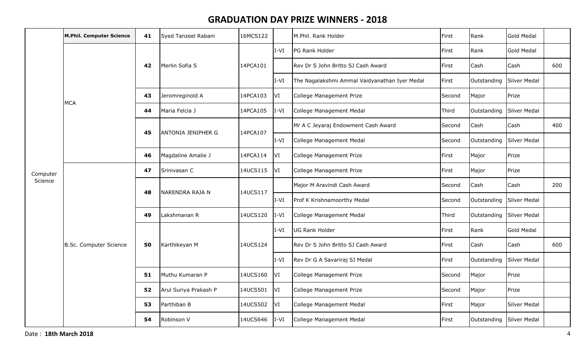|          | <b>M.Phil. Computer Science</b> | 41 | Syed Tanzeel Rabani       | 16MCS122 |           | M.Phil. Rank Holder                           | First  | Rank                     | Gold Medal   |     |
|----------|---------------------------------|----|---------------------------|----------|-----------|-----------------------------------------------|--------|--------------------------|--------------|-----|
|          |                                 |    |                           |          | $I-VI$    | PG Rank Holder                                | First  | Rank                     | Gold Medal   |     |
|          |                                 | 42 | Merlin Sofia S            | 14PCA101 |           | Rev Dr S John Britto SJ Cash Award            | First  | Cash                     | Cash         | 600 |
|          |                                 |    |                           |          | $IV-I$    | The Nagalakshmi Ammal Vaidyanathan Iyer Medal | First  | Outstanding              | Silver Medal |     |
|          | <b>MCA</b>                      | 43 | Jeromreginold A           | 14PCA103 | VI]       | College Management Prize                      | Second | Major                    | Prize        |     |
|          |                                 | 44 | Maria Felcia J            | 14PCA105 | $IV-I$    | College Management Medal                      | Third  | Outstanding              | Silver Medal |     |
|          |                                 | 45 | <b>ANTONIA JENIPHER G</b> | 14PCA107 |           | Mr A C Jeyaraj Endowment Cash Award           | Second | Cash                     | Cash         | 400 |
|          |                                 |    |                           |          | $IV-I$    | College Management Medal                      | Second | Outstanding              | Silver Medal |     |
| Computer |                                 | 46 | Magdaline Amalie J        | 14PCA114 | VI        | College Management Prize                      | First  | Major                    | Prize        |     |
|          |                                 | 47 | Srinivasan C              | 14UCS115 | V         | College Management Prize                      | First  | Major                    | Prize        |     |
| Science  |                                 | 48 | NARENDRA RAJA N           | 14UCS117 |           | Major M Aravindi Cash Award                   | Second | Cash                     | Cash         | 200 |
|          |                                 |    |                           |          | $I-VI$    | Prof K Krishnamoorthy Medal                   | Second | Outstanding Silver Medal |              |     |
|          |                                 | 49 | Lakshmanan R              | 14UCS120 | $I-VI$    | College Management Medal                      | Third  | Outstanding              | Silver Medal |     |
|          |                                 |    |                           |          | $I-VI$    | <b>UG Rank Holder</b>                         | First  | Rank                     | Gold Medal   |     |
|          | <b>B.Sc. Computer Science</b>   | 50 | Karthikeyan M             | 14UCS124 |           | Rev Dr S John Britto SJ Cash Award            | First  | Cash                     | Cash         | 600 |
|          |                                 |    |                           |          | $IV-I$    | Rev Dr G A Savariraj SJ Medal                 | First  | Outstanding              | Silver Medal |     |
|          |                                 | 51 | Muthu Kumaran P           | 14UCS160 | <b>VI</b> | College Management Prize                      | Second | Major                    | Prize        |     |
|          |                                 | 52 | Arul Suriya Prakash P     | 14UCS501 | VI        | College Management Prize                      | Second | Major                    | Prize        |     |
|          |                                 | 53 | Parthiban B               | 14UCS502 | <b>VI</b> | College Management Medal                      | First  | Major                    | Silver Medal |     |
|          |                                 | 54 | Robinson V                | 14UCS646 | $I-VI$    | College Management Medal                      | First  | Outstanding              | Silver Medal |     |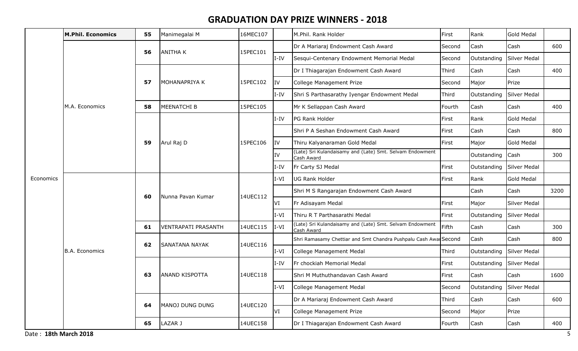|                       | <b>M.Phil. Economics</b> | 55 | Manimegalai M              | 16MEC107 |           | M.Phil. Rank Holder                                                    | First  | Rank                     | Gold Medal          |      |
|-----------------------|--------------------------|----|----------------------------|----------|-----------|------------------------------------------------------------------------|--------|--------------------------|---------------------|------|
|                       |                          | 56 | <b>ANITHA K</b>            | 15PEC101 |           | Dr A Mariaraj Endowment Cash Award                                     | Second | Cash                     | Cash                | 600  |
|                       |                          |    |                            |          | I-IV      | Sesqui-Centenary Endowment Memorial Medal                              | Second | Outstanding              | Silver Medal        |      |
|                       |                          |    |                            |          |           | Dr I Thiagarajan Endowment Cash Award                                  | Third  | Cash                     | Cash                | 400  |
|                       |                          | 57 | MOHANAPRIYA K              | 15PEC102 | IV        | College Management Prize                                               | Second | Major                    | Prize               |      |
|                       |                          |    |                            |          | I-IV      | Shri S Parthasarathy Iyengar Endowment Medal                           | Third  | Outstanding              | <b>Silver Medal</b> |      |
|                       | M.A. Economics           | 58 | MEENATCHI B                | 15PEC105 |           | Mr K Sellappan Cash Award                                              | Fourth | Cash                     | Cash                | 400  |
|                       |                          |    |                            |          | I-IV      | PG Rank Holder                                                         | First  | Rank                     | <b>Gold Medal</b>   |      |
|                       |                          |    | Arul Raj D                 |          |           | Shri P A Seshan Endowment Cash Award                                   | First  | Cash                     | Cash                | 800  |
|                       |                          | 59 |                            | 15PEC106 | <b>IV</b> | Thiru Kalyanaraman Gold Medal                                          | First  | Major                    | <b>Gold Medal</b>   |      |
|                       |                          |    |                            |          | IV        | (Late) Sri Kulandaisamy and (Late) Smt. Selvam Endowment<br>Cash Award |        | Outstanding              | Cash                | 300  |
|                       |                          |    |                            |          | I-IV      | Fr Carty SJ Medal                                                      | First  | Outstanding              | Silver Medal        |      |
| Economics             |                          |    | Nunna Pavan Kumar          | 14UEC112 | IV-I      | UG Rank Holder                                                         | First  | Rank                     | <b>Gold Medal</b>   |      |
|                       |                          | 60 |                            |          |           | Shri M S Rangarajan Endowment Cash Award                               |        | Cash                     | Cash                | 3200 |
|                       |                          |    |                            |          | VI        | Fr Adisayam Medal                                                      | First  | Major                    | <b>Silver Medal</b> |      |
|                       |                          |    |                            |          | $I-VI$    | Thiru R T Parthasarathi Medal                                          | First  | Outstanding              | <b>Silver Medal</b> |      |
|                       |                          | 61 | <b>VENTRAPATI PRASANTH</b> | 14UEC115 | $I-VI$    | (Late) Sri Kulandaisamy and (Late) Smt. Selvam Endowment<br>Cash Award | Fifth  | Cash                     | Cash                | 300  |
|                       |                          | 62 | <b>SANATANA NAYAK</b>      | 14UEC116 |           | Shri Ramasamy Chettiar and Smt Chandra Pushpalu Cash Awar Second       |        | Cash                     | Cash                | 800  |
|                       | <b>B.A. Economics</b>    |    |                            |          | $I-VI$    | College Management Medal                                               | Third  | Outstanding              | Silver Medal        |      |
|                       |                          |    |                            |          | I-IV      | Fr chockiah Memorial Medal                                             | First  | Outstanding              | Silver Medal        |      |
|                       |                          | 63 | <b>ANAND KISPOTTA</b>      | 14UEC118 |           | Shri M Muthuthandavan Cash Award                                       | First  | Cash                     | Cash                | 1600 |
|                       |                          |    |                            |          | $I-VI$    | College Management Medal                                               | Second | Outstanding Silver Medal |                     |      |
|                       |                          | 64 | MANOJ DUNG DUNG            | 14UEC120 |           | Dr A Mariaraj Endowment Cash Award                                     | Third  | Cash                     | Cash                | 600  |
|                       |                          |    |                            |          | VI]       | College Management Prize                                               | Second | Major                    | Prize               |      |
|                       |                          | 65 | LAZAR J                    | 14UEC158 |           | Dr I Thiagarajan Endowment Cash Award                                  | Fourth | Cash                     | Cash                | 400  |
| Date: 18th March 2018 |                          |    |                            |          |           |                                                                        |        |                          |                     | 5    |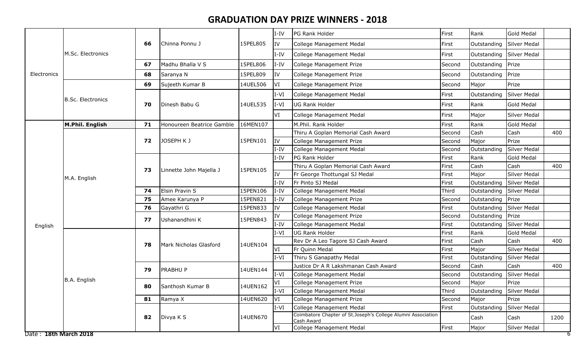|                       |                          |    |                           |          | $I-IV$    | PG Rank Holder                                                             | First  | Rank        | Gold Medal        |      |
|-----------------------|--------------------------|----|---------------------------|----------|-----------|----------------------------------------------------------------------------|--------|-------------|-------------------|------|
|                       |                          | 66 | Chinna Ponnu J            | 15PEL805 | IV        | College Management Medal                                                   | First  | Outstanding | Silver Medal      |      |
|                       | M.Sc. Electronics        |    |                           |          | $I-IV$    | College Management Medal                                                   | First  | Outstanding | Silver Medal      |      |
|                       |                          | 67 | Madhu Bhalla V S          | 15PEL806 | I-IV      | College Management Prize                                                   | Second | Outstanding | Prize             |      |
| Electronics           |                          | 68 | Saranya N                 | 15PEL809 | IV        | College Management Prize                                                   | Second | Outstanding | Prize             |      |
|                       |                          | 69 | Sujeeth Kumar B           | 14UEL506 | VI        | College Management Prize                                                   | Second | Major       | Prize             |      |
|                       |                          |    |                           |          | $I-VI$    | College Management Medal                                                   | First  | Outstanding | Silver Medal      |      |
|                       | <b>B.Sc. Electronics</b> | 70 | Dinesh Babu G             | 14UEL535 | $I-VI$    | UG Rank Holder                                                             | First  | Rank        | <b>Gold Medal</b> |      |
|                       |                          |    |                           |          | VI        | College Management Medal                                                   | First  | Major       | Silver Medal      |      |
|                       | M.Phil. English          | 71 | Honoureen Beatrice Gamble | 16MEN107 |           | M.Phil. Rank Holder                                                        | First  | Rank        | <b>Gold Medal</b> |      |
|                       |                          |    |                           |          |           | Thiru A Goplan Memorial Cash Award                                         | Second | Cash        | Cash              | 400  |
|                       |                          | 72 | JOSEPH K J                | 15PEN101 | <b>IV</b> | College Management Prize                                                   | Second | Major       | Prize             |      |
|                       |                          |    |                           |          | $I-IV$    | College Management Medal                                                   | Second | Outstanding | Silver Medal      |      |
|                       |                          |    | Linnette John Majella J   |          | $I-IV$    | PG Rank Holder                                                             | First  | Rank        | <b>Gold Medal</b> |      |
|                       |                          |    |                           |          |           | Thiru A Goplan Memorial Cash Award                                         | First  | Cash        | Cash              | 400  |
|                       | M.A. English             | 73 |                           | 15PEN105 | IV        | Fr George Thottungal SJ Medal                                              | First  | Major       | Silver Medal      |      |
|                       |                          |    |                           |          | I-IV      | Fr Pinto SJ Medal                                                          | First  | Outstanding | Silver Medal      |      |
|                       |                          | 74 | Elsin Pravin S            | 15PEN106 | I-IV      | College Management Medal                                                   | Third  | Outstanding | Silver Medal      |      |
|                       |                          | 75 | Amee Karunya P            | 15PEN821 | $I-IV$    | College Management Prize                                                   | Second | Outstanding | Prize             |      |
|                       |                          | 76 | Gayathri G                | 15PEN833 | IV        | College Management Medal                                                   | First  | Outstanding | Silver Medal      |      |
|                       |                          |    |                           |          | IV        | College Management Prize                                                   | Second | Outstanding | Prize             |      |
| English               |                          | 77 | Ushanandhini K            | 15PEN843 | $I-IV$    | College Management Medal                                                   | First  | Outstanding | Silver Medal      |      |
|                       |                          |    |                           |          | $I-VI$    | <b>UG Rank Holder</b>                                                      | First  | Rank        | <b>Gold Medal</b> |      |
|                       |                          |    |                           |          |           | Rev Dr A Leo Tagore SJ Cash Award                                          | First  | Cash        | Cash              | 400  |
|                       |                          | 78 | Mark Nicholas Glasford    | 14UEN104 | VI        | Fr Quinn Medal                                                             | First  | Major       | Silver Medal      |      |
|                       |                          |    |                           |          | $I-VI$    | Thiru S Ganapathy Medal                                                    | First  | Outstanding | Silver Medal      |      |
|                       |                          |    |                           |          |           | Justice Dr A R Lakshmanan Cash Award                                       | Second | Cash        | Cash              | 400  |
|                       |                          | 79 | <b>PRABHUP</b>            | 14UEN144 | $I-VI$    | College Management Medal                                                   | Second | Outstanding | Silver Medal      |      |
|                       | B.A. English             | 80 | Santhosh Kumar B          | 14UEN162 | VI        | College Management Prize                                                   | Second | Major       | Prize             |      |
|                       |                          |    |                           |          | $IV-I$    | College Management Medal                                                   | Third  | Outstanding | Silver Medal      |      |
|                       |                          | 81 | Ramya X                   | 14UEN620 | VI        | College Management Prize                                                   | Second | Major       | Prize             |      |
|                       |                          |    |                           |          | $I-VI$    | College Management Medal                                                   | First  | Outstanding | Silver Medal      |      |
|                       |                          | 82 | Divya K S                 | 14UEN670 |           | Coimbatore Chapter of St.Joseph's College Alumni Association<br>Cash Award |        | Cash        | Cash              | 1200 |
|                       |                          |    |                           |          | VI        | College Management Medal                                                   | First  | Major       | Silver Medal      |      |
| Date: 18th March 2018 |                          |    |                           |          |           |                                                                            |        |             |                   |      |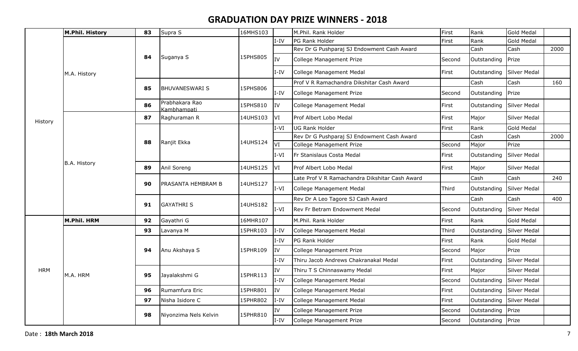|            | M.Phil. History    | 83 | Supra S                       | 16MHS103 |           | M.Phil. Rank Holder                            | First  | Rank              | <b>Gold Medal</b> |      |
|------------|--------------------|----|-------------------------------|----------|-----------|------------------------------------------------|--------|-------------------|-------------------|------|
|            |                    |    |                               |          | $I-IV$    | PG Rank Holder                                 | First  | Rank              | Gold Medal        |      |
|            |                    |    |                               |          |           | Rev Dr G Pushparaj SJ Endowment Cash Award     |        | Cash              | Cash              | 2000 |
|            |                    | 84 | Suganya S                     | 15PHS805 | Iv        | College Management Prize                       | Second | Outstanding       | Prize             |      |
|            | M.A. History       |    |                               |          | I-IV      | College Management Medal                       | First  | Outstanding       | Silver Medal      |      |
|            |                    |    |                               |          |           | Prof V R Ramachandra Dikshitar Cash Award      |        | Cash              | Cash              | 160  |
|            |                    | 85 | <b>BHUVANESWARI S</b>         | 15PHS806 | $I-IV$    | College Management Prize                       | Second | Outstanding       | Prize             |      |
|            |                    | 86 | Prabhakara Rao<br>Kambhampati | 15PHS810 | IV        | College Management Medal                       | First  | Outstanding       | Silver Medal      |      |
| History    |                    | 87 | Raghuraman R                  | 14UHS103 | <b>VI</b> | Prof Albert Lobo Medal                         | First  | Major             | Silver Medal      |      |
|            |                    |    |                               |          | $I-VI$    | <b>UG Rank Holder</b>                          | First  | Rank              | <b>Gold Medal</b> |      |
|            |                    |    | Ranjit Ekka                   |          |           | Rev Dr G Pushparaj SJ Endowment Cash Award     |        | Cash              | Cash              | 2000 |
|            |                    | 88 |                               | 14UHS124 | lvı       | College Management Prize                       | Second | Major             | Prize             |      |
|            | B.A. History       |    |                               |          | $I-VI$    | Fr Stanislaus Costa Medal                      | First  | Outstanding       | Silver Medal      |      |
|            |                    | 89 | Anil Soreng                   | 14UHS125 | VI        | Prof Albert Lobo Medal                         | First  | Major             | Silver Medal      |      |
|            |                    |    |                               |          |           | Late Prof V R Ramachandra Dikshitar Cash Award |        | Cash              | Cash              | 240  |
|            |                    | 90 | PRASANTA HEMBRAM B            | 14UHS127 | $I-VI$    | College Management Medal                       | Third  | Outstanding       | Silver Medal      |      |
|            |                    |    | <b>GAYATHRI S</b>             |          |           | Rev Dr A Leo Tagore SJ Cash Award              |        | Cash              | Cash              | 400  |
|            |                    | 91 |                               | 14UHS182 | $I-VI$    | Rev Fr Betram Endowment Medal                  | Second | Outstanding       | Silver Medal      |      |
|            | <b>M.Phil. HRM</b> | 92 | Gayathri G                    | 16MHR107 |           | M.Phil. Rank Holder                            | First  | Rank              | Gold Medal        |      |
|            |                    | 93 | Lavanya M                     | 15PHR103 | $I-IV$    | College Management Medal                       | Third  | Outstanding       | Silver Medal      |      |
|            |                    |    |                               |          | I-IV      | PG Rank Holder                                 | First  | Rank              | Gold Medal        |      |
|            |                    | 94 | Anu Akshaya S                 | 15PHR109 | <b>IV</b> | College Management Prize                       | Second | Major             | Prize             |      |
|            |                    |    |                               |          | I-IV      | Thiru Jacob Andrews Chakranakal Medal          | First  | Outstanding       | Silver Medal      |      |
| <b>HRM</b> | M.A. HRM           | 95 | Jayalakshmi G                 | 15PHR113 | IV        | Thiru T S Chinnaswamy Medal                    | First  | Major             | Silver Medal      |      |
|            |                    |    |                               |          | I-IV      | College Management Medal                       | Second | Outstanding       | Silver Medal      |      |
|            |                    | 96 | Rumamfura Eric                | 15PHR801 | IV        | College Management Medal                       | First  | Outstanding       | Silver Medal      |      |
|            |                    | 97 | Nisha Isidore C               | 15PHR802 | I-IV      | College Management Medal                       | First  | Outstanding       | Silver Medal      |      |
|            |                    |    |                               | 15PHR810 | IV        | <b>College Management Prize</b>                | Second | Outstanding       | Prize             |      |
|            |                    | 98 | Niyonzima Nels Kelvin         |          | I-IV      | College Management Prize                       | Second | Outstanding Prize |                   |      |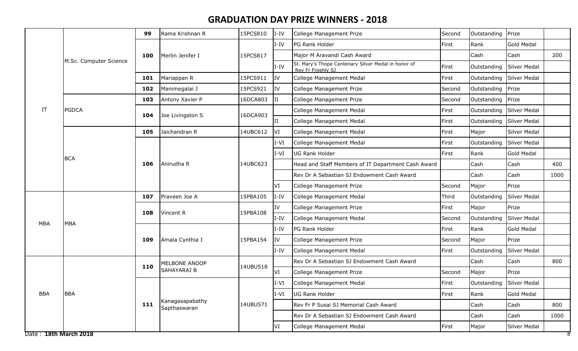|                       |                        | 99  | Rama Krishnan R                 | 15PCS810 | $I-IV$                   | College Management Prize                                                 | Second | Outstanding              | Prize               |      |
|-----------------------|------------------------|-----|---------------------------------|----------|--------------------------|--------------------------------------------------------------------------|--------|--------------------------|---------------------|------|
|                       |                        |     |                                 |          | $I-IV$                   | PG Rank Holder                                                           | First  | Rank                     | <b>Gold Medal</b>   |      |
|                       |                        | 100 | Merlin Jenifer I                | 15PCS817 |                          | Major M Aravandi Cash Award                                              |        | Cash                     | Cash                | 200  |
|                       | M.Sc. Computer Science |     |                                 |          | $I-IV$                   | St. Mary's Thope Centenary Silver Medal in honor of<br>Rev Fr Froehly SJ | First  | Outstanding              | Silver Medal        |      |
|                       |                        | 101 | Mariappan R                     | 15PCS911 | IV                       | College Management Medal                                                 | First  | Outstanding              | Silver Medal        |      |
|                       |                        | 102 | Manimegalai J                   | 15PCS921 | <b>IV</b>                | College Management Prize                                                 | Second | Outstanding Prize        |                     |      |
|                       |                        | 103 | Antony Xavier P                 | 16DCA803 | ΙI                       | College Management Prize                                                 | Second | Outstanding              | Prize               |      |
| IT                    | <b>PGDCA</b>           | 104 | Joe Livingston S                | 16DCA903 |                          | College Management Medal                                                 | First  | Outstanding              | Silver Medal        |      |
|                       |                        |     |                                 |          | $\rm II$                 | College Management Medal                                                 | First  | Outstanding Silver Medal |                     |      |
|                       |                        | 105 | Jaichandran R                   | 14UBC612 | VI                       | College Management Medal                                                 | First  | Major                    | Silver Medal        |      |
|                       |                        |     |                                 |          | $I-VI$                   | College Management Medal                                                 | First  | Outstanding              | Silver Medal        |      |
|                       | <b>BCA</b>             |     | Anirudha R                      |          | $I-VI$                   | UG Rank Holder                                                           | First  | Rank                     | <b>Gold Medal</b>   |      |
|                       |                        | 106 |                                 | 14UBC623 |                          | Head and Staff Members of IT Department Cash Award                       |        | Cash                     | Cash                | 400  |
|                       |                        |     |                                 |          |                          | Rev Dr A Sebastian SJ Endowment Cash Award                               |        | Cash                     | Cash                | 1000 |
|                       |                        |     |                                 |          | VI                       | College Management Prize                                                 | Second | Major                    | Prize               |      |
|                       |                        | 107 | Praveen Joe A                   | 15PBA105 | $I-IV$                   | College Management Medal                                                 | Third  | Outstanding              | Silver Medal        |      |
|                       |                        | 108 | Vincent R<br>15PBA108           | IV       | College Management Prize | First                                                                    | Major  | Prize                    |                     |      |
| <b>MBA</b>            | MBA                    |     |                                 |          | $I-IV$                   | College Management Medal                                                 | Second | Outstanding              | Silver Medal        |      |
|                       |                        |     |                                 |          | I-IV                     | PG Rank Holder                                                           | First  | Rank                     | <b>Gold Medal</b>   |      |
|                       |                        | 109 | Amala Cynthia I                 | 15PBA154 | <b>IV</b>                | College Management Prize                                                 | Second | Major                    | Prize               |      |
|                       |                        |     |                                 |          | $I-IV$                   | College Management Medal                                                 | First  | Outstanding              | Silver Medal        |      |
|                       |                        | 110 | MELBONE ANOOP                   | 14UBU518 |                          | Rev Dr A Sebastian SJ Endowment Cash Award                               |        | Cash                     | Cash                | 800  |
|                       |                        |     | SAHAYARAJ B                     |          | VI                       | College Management Prize                                                 | Second | Major                    | Prize               |      |
|                       |                        |     |                                 |          | $I-VI$                   | College Management Medal                                                 | First  | Outstanding Silver Medal |                     |      |
| <b>BBA</b>            | <b>BBA</b>             |     |                                 |          | $I-VI$                   | UG Rank Holder                                                           | First  | Rank                     | <b>Gold Medal</b>   |      |
|                       |                        | 111 | Kanagasapabathy<br>Sapthaswaran | 14UBU571 |                          | Rev Fr P Susai SJ Memorial Cash Award                                    |        | Cash                     | Cash                | 800  |
|                       |                        |     |                                 |          |                          | Rev Dr A Sebastian SJ Endowment Cash Award                               |        | Cash                     | Cash                | 1000 |
|                       |                        |     |                                 |          | VI                       | College Management Medal                                                 | First  | Major                    | <b>Silver Medal</b> |      |
| Date: 18th March 2018 |                        |     |                                 |          |                          |                                                                          |        |                          |                     | 8    |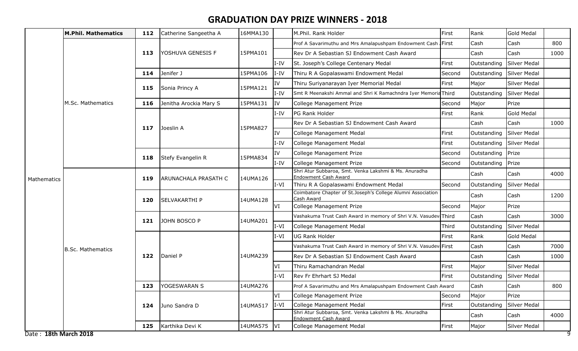|                       | <b>M.Phil. Mathematics</b> | 112 | Catherine Sangeetha A       | 16MMA130       |        | M.Phil. Rank Holder                                                                  | First  | Rank        | <b>Gold Medal</b>   |      |
|-----------------------|----------------------------|-----|-----------------------------|----------------|--------|--------------------------------------------------------------------------------------|--------|-------------|---------------------|------|
|                       |                            |     |                             |                |        | Prof A Savarimuthu and Mrs Amalapushpam Endowment Cash First                         |        | Cash        | Cash                | 800  |
|                       |                            | 113 | YOSHUVA GENESIS F           | 15PMA101       |        | Rev Dr A Sebastian SJ Endowment Cash Award                                           |        | Cash        | Cash                | 1000 |
|                       |                            |     |                             |                | $I-IV$ | St. Joseph's College Centenary Medal                                                 | First  | Outstanding | <b>Silver Medal</b> |      |
|                       |                            | 114 | Jenifer J                   | 15PMA106       | $I-IV$ | Thiru R A Gopalaswami Endowment Medal                                                | Second | Outstanding | Silver Medal        |      |
|                       |                            | 115 | Sonia Princy A              | 15PMA121       | IV     | Thiru Suriyanarayan Iyer Memorial Medal                                              | First  | Major       | <b>Silver Medal</b> |      |
|                       |                            |     |                             |                | I-IV   | Smt R Meenakshi Ammal and Shri K Ramachndra Iyer Memorid Third                       |        | Outstanding | Silver Medal        |      |
|                       | M.Sc. Mathematics          | 116 | Jenitha Arockia Mary S      | 15PMA131       | IV     | College Management Prize                                                             | Second | Major       | Prize               |      |
|                       |                            |     |                             |                | I-IV   | PG Rank Holder                                                                       | First  | Rank        | <b>Gold Medal</b>   |      |
|                       |                            | 117 | Joeslin A                   | 15PMA827       |        | Rev Dr A Sebastian SJ Endowment Cash Award                                           |        | Cash        | Cash                | 1000 |
|                       |                            |     |                             |                | IV     | College Management Medal                                                             | First  | Outstanding | Silver Medal        |      |
|                       |                            |     |                             |                | $I-IV$ | College Management Medal                                                             | First  | Outstanding | Silver Medal        |      |
|                       |                            | 118 | Stefy Evangelin R           | 15PMA834       | IV     | College Management Prize                                                             | Second | Outstanding | Prize               |      |
|                       |                            |     |                             |                | $I-IV$ | College Management Prize                                                             | Second | Outstanding | Prize               |      |
| Mathematics           |                            | 119 | <b>ARUNACHALA PRASATH C</b> | 14UMA126       |        | Shri Atur Subbaroa, Smt. Venka Lakshmi & Ms. Anuradha<br><b>Endowment Cash Award</b> |        | Cash        | Cash                | 4000 |
|                       |                            |     |                             |                | $I-VI$ | Thiru R A Gopalaswami Endowment Medal                                                | Second | Outstanding | Silver Medal        |      |
|                       |                            |     |                             |                |        | Coimbatore Chapter of St.Joseph's College Alumni Association<br>Cash Award           |        | Cash        | Cash                | 1200 |
|                       |                            | 120 | <b>SELVAKARTHI P</b>        | 14UMA128       | VI     | College Management Prize                                                             | Second | Major       | Prize               |      |
|                       |                            |     |                             |                |        | Vashakuma Trust Cash Award in memory of Shri V.N. Vasudev Third                      |        | Cash        | Cash                | 3000 |
|                       |                            | 121 | JOHN BOSCO P                | 14UMA201       | $I-VI$ | College Management Medal                                                             | Third  | Outstanding | Silver Medal        |      |
|                       |                            |     |                             |                | $I-VI$ | <b>UG Rank Holder</b>                                                                | First  | Rank        | <b>Gold Medal</b>   |      |
|                       | <b>B.Sc. Mathematics</b>   |     |                             |                |        | Vashakuma Trust Cash Award in memory of Shri V.N. Vasudev First                      |        | Cash        | Cash                | 7000 |
|                       |                            | 122 | Daniel P                    | 14UMA239       |        | Rev Dr A Sebastian SJ Endowment Cash Award                                           |        | Cash        | Cash                | 1000 |
|                       |                            |     |                             |                | VI     | Thiru Ramachandran Medal                                                             | First  | Major       | <b>Silver Medal</b> |      |
|                       |                            |     |                             |                | $I-VI$ | Rev Fr Ehrhart SJ Medal                                                              | First  | Outstanding | Silver Medal        |      |
|                       |                            | 123 | YOGESWARAN S                | 14UMA276       |        | Prof A Savarimuthu and Mrs Amalapushpam Endowment Cash Award                         |        | Cash        | Cash                | 800  |
|                       |                            |     |                             |                | lvi    | College Management Prize                                                             | Second | Major       | Prize               |      |
|                       |                            | 124 | Juno Sandra D               | 14UMA517  I-VI |        | College Management Medal                                                             | First  | Outstanding | Silver Medal        |      |
|                       |                            |     |                             |                |        | Shri Atur Subbaroa, Smt. Venka Lakshmi & Ms. Anuradha<br><b>Endowment Cash Award</b> |        | Cash        | Cash                | 4000 |
|                       |                            | 125 | Karthika Devi K             | 14UMA575 VI    |        | College Management Medal                                                             | First  | Major       | Silver Medal        |      |
| Date: 18th March 2018 |                            |     |                             |                |        |                                                                                      |        |             |                     | 9    |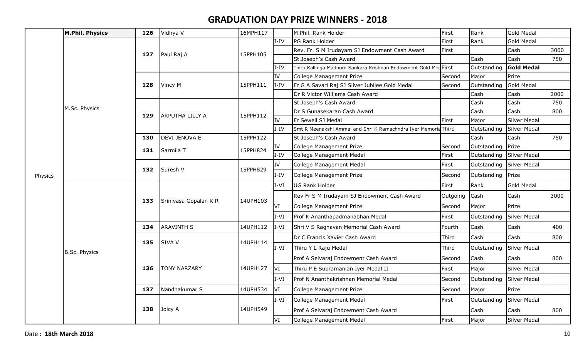|         | <b>M.Phil. Physics</b> | 126 | Vidhya V               | 16MPH117 |               | M.Phil. Rank Holder                                             | First    | Rank        | <b>Gold Medal</b>   |      |
|---------|------------------------|-----|------------------------|----------|---------------|-----------------------------------------------------------------|----------|-------------|---------------------|------|
|         |                        |     |                        |          | $I-IV$        | PG Rank Holder                                                  | First    | Rank        | Gold Medal          |      |
|         |                        | 127 | Paul Raj A             | 15PPH105 |               | Rev. Fr. S M Irudayam SJ Endowment Cash Award                   | First    |             | Cash                | 3000 |
|         |                        |     |                        |          |               | St.Joseph's Cash Award                                          |          | Cash        | Cash                | 750  |
|         |                        |     |                        |          | $I-IV$        | Thiru Kallinga Madhom Sankara Krishnan Endowment Gold Med First |          | Outstanding | <b>Gold Medal</b>   |      |
|         |                        |     |                        |          | IV            | College Management Prize                                        | Second   | Major       | Prize               |      |
|         |                        | 128 | Vincy M                | 15PPH111 | $I-IV$        | Fr G A Savari Raj SJ Silver Jubilee Gold Medal                  | Second   | Outstanding | Gold Medal          |      |
|         |                        |     |                        |          |               | Dr R Victor Williams Cash Award                                 |          | Cash        | Cash                | 2000 |
|         | M.Sc. Physics          |     |                        | 15PPH112 |               | St.Joseph's Cash Award                                          |          | Cash        | Cash                | 750  |
|         |                        | 129 | <b>ARPUTHA LILLY A</b> |          |               | Dr S Gunasekaran Cash Award                                     |          | Cash        | Cash                | 800  |
|         |                        |     |                        |          | IV            | Fr Sewell SJ Medal                                              | First    | Major       | Silver Medal        |      |
|         |                        |     |                        |          | $I-IV$        | Smt R Meenakshi Ammal and Shri K Ramachndra Iyer Memoria Third  |          | Outstanding | Silver Medal        |      |
|         |                        | 130 | <b>DEVI JENOVA E</b>   | 15PPH122 |               | St.Joseph's Cash Award                                          |          | Cash        | Cash                | 750  |
|         |                        | 131 | Sarmila T              | 15PPH824 | IV            | College Management Prize                                        | Second   | Outstanding | Prize               |      |
|         |                        |     |                        |          | $\mbox{I-IV}$ | College Management Medal                                        | First    | Outstanding | Silver Medal        |      |
| Physics |                        | 132 | Suresh V               | 15PPH829 | IV            | College Management Medal                                        | First    | Outstanding | Silver Medal        |      |
|         |                        |     |                        |          | $I-IV$        | College Management Prize                                        | Second   | Outstanding | Prize               |      |
|         |                        |     | Srinivasa Gopalan K R  | 14UPH103 | $I-VI$        | <b>UG Rank Holder</b>                                           | First    | Rank        | <b>Gold Medal</b>   |      |
|         |                        | 133 |                        |          |               | Rev Fr S M Irudayam SJ Endowment Cash Award                     | Outgoing | Cash        | Cash                | 3000 |
|         |                        |     |                        |          | IVI.          | College Management Prize                                        | Second   | Major       | Prize               |      |
|         |                        |     |                        |          | $I-VI$        | Prof K Ananthapadmanabhan Medal                                 | First    | Outstanding | Silver Medal        |      |
|         |                        | 134 | <b>ARAVINTH S</b>      | 14UPH112 | $I-VI$        | Shri V S Raghavan Memorial Cash Award                           | Fourth   | Cash        | Cash                | 400  |
|         |                        | 135 | <b>SIVA V</b>          | 14UPH114 |               | Dr C Francis Xavier Cash Award                                  | Third    | Cash        | Cash                | 800  |
|         | <b>B.Sc. Physics</b>   |     |                        |          | $I-VI$        | Thiru Y L Raju Medal                                            | Third    | Outstanding | Silver Medal        |      |
|         |                        |     |                        |          |               | Prof A Selvaraj Endowment Cash Award                            | Second   | Cash        | Cash                | 800  |
|         |                        | 136 | <b>TONY NARZARY</b>    | 14UPH127 | <b>VI</b>     | Thiru P E Subramanian Iyer Medal II                             | First    | Major       | Silver Medal        |      |
|         |                        |     |                        |          | $I-VI$        | Prof N Ananthakrishnan Memorial Medal                           | Second   | Outstanding | Silver Medal        |      |
|         |                        | 137 | Nandhakumar S          | 14UPH534 | VI            | College Management Prize                                        | Second   | Major       | Prize               |      |
|         |                        |     |                        |          | $I-VI$        | College Management Medal                                        | First    | Outstanding | Silver Medal        |      |
|         |                        | 138 | Joicy A                | 14UPH549 |               | Prof A Selvaraj Endowment Cash Award                            |          | Cash        | Cash                | 800  |
|         |                        |     |                        |          | VI            | College Management Medal                                        | First    | Major       | <b>Silver Medal</b> |      |